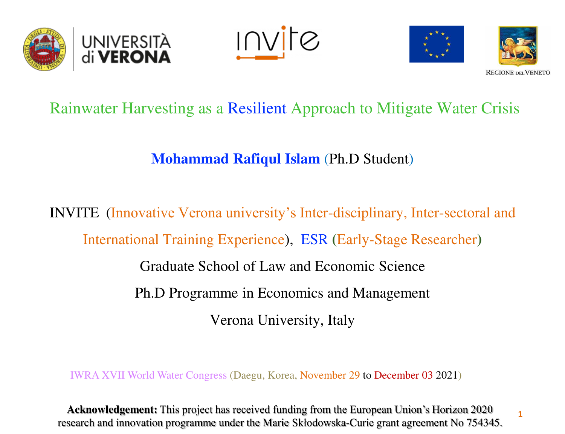

**INVIC** 



**1** 

### Rainwater Harvesting as a Resilient Approach to Mitigate Water Crisis

**Mohammad Rafiqul Islam** (Ph.D Student)

INVITE (Innovative Verona university's Inter-disciplinary, Inter-sectoral and International Training Experience), ESR **(**Early-Stage Researcher**)** Graduate School of Law and Economic Science Ph.D Programme in Economics and Management Verona University, Italy

IWRA XVII World Water Congress (Daegu, Korea, November 29 to December 03 2021)

**Acknowledgement:** This project has received funding from the European Union's Horizon 2020 research and innovation programme under the Marie Skłodowska-Curie grant agreement No 754345.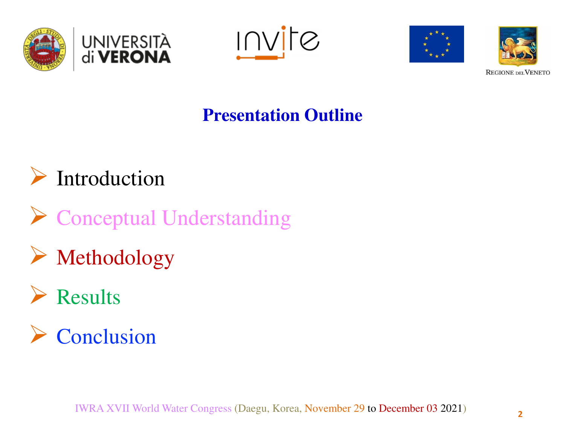







### **Presentation Outline**

## Introduction

- ▶ Conceptual Understanding
- Methodology

# Results

 $\triangleright$  Conclusion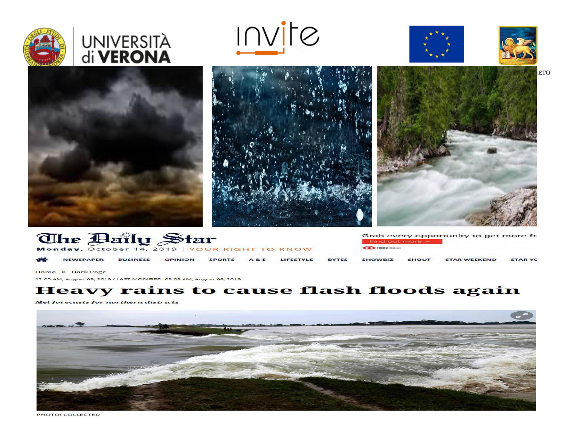









**ETO** 





| <b>The Baily Star</b><br>Monday, October 14, 2019 YOUR RIGHT TO KNOW |                  |                 |                |               |                |           | <b>CE PHSSC</b> Soloct | Find out more > | Grab every opportunity to get more fr |                     |               |
|----------------------------------------------------------------------|------------------|-----------------|----------------|---------------|----------------|-----------|------------------------|-----------------|---------------------------------------|---------------------|---------------|
| $\rightarrow$                                                        | <b>NEWSPAPER</b> | <b>BUSINESS</b> | <b>OPINION</b> | <b>SPORTS</b> | <b>A&amp;E</b> | LIFESTYLE | <b>BYTES</b>           | <b>SHOWBIZ</b>  | <b>SHOUT</b>                          | <b>STAR WEEKEND</b> | <b>STARYC</b> |

Home » Back Page

12:00 AM, August 09, 2019 / LAST MODIFIED: 03:09 AM, August 09, 2019

#### **Heavy rains to cause flash floods again**

Met forecasts for northern districts



PHOTO: COLLECTED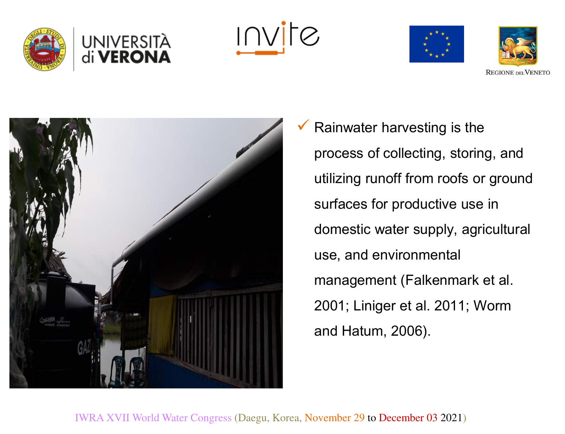

<u>Invite</u>







 Rainwater harvesting is the process of collecting, storing, and utilizing runoff from roofs or ground surfaces for productive use in domestic water supply, agricultural use, and environmental management (Falkenmark et al. 2001; Liniger et al. 2011; Worm and Hatum, 2006).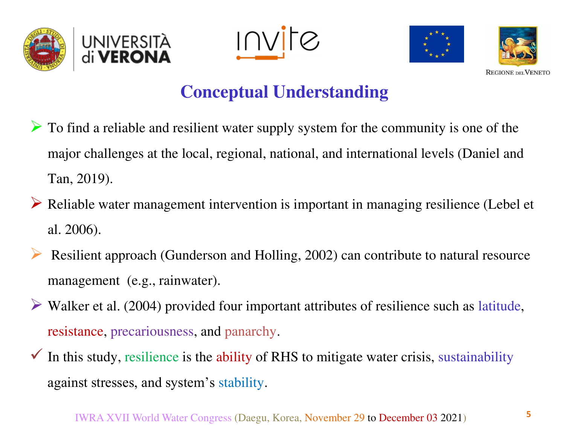

<u>INVITE</u>





### **Conceptual Understanding**

- $\triangleright$  To find a reliable and resilient water supply system for the community is one of the major challenges at the local, regional, national, and international levels (Daniel and Tan, 2019).
- Reliable water management intervention is important in managing resilience (Lebel et al. 2006).
- Resilient approach (Gunderson and Holling, 2002) can contribute to natural resource management (e.g., rainwater).
- $\triangleright$  Walker et al. (2004) provided four important attributes of resilience such as latitude, resistance, precariousness, and panarchy.
- $\checkmark$  In this study, resilience is the ability of RHS to mitigate water crisis, sustainability against stresses, and system's stability.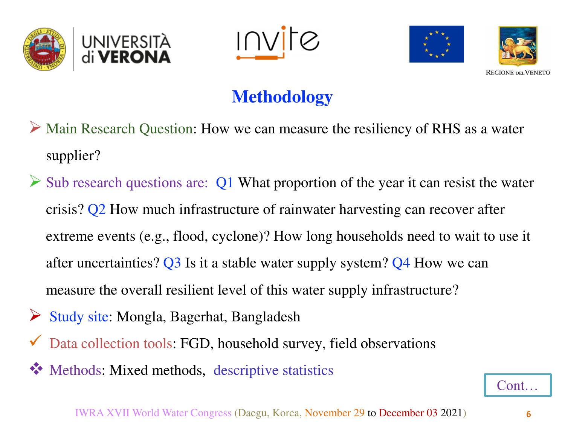

<u>Invite</u>



## **Methodology**

- Main Research Question: How we can measure the resiliency of RHS as a water supplier?
- $\triangleright$  Sub research questions are: Q1 What proportion of the year it can resist the water crisis? Q2 How much infrastructure of rainwater harvesting can recover after extreme events (e.g., flood, cyclone)? How long households need to wait to use it after uncertainties? Q3 Is it a stable water supply system? Q4 How we can measure the overall resilient level of this water supply infrastructure?
- Study site: Mongla, Bagerhat, Bangladesh
- Data collection tools: FGD, household survey, field observations
- Methods: Mixed methods, descriptive statistics

Cont…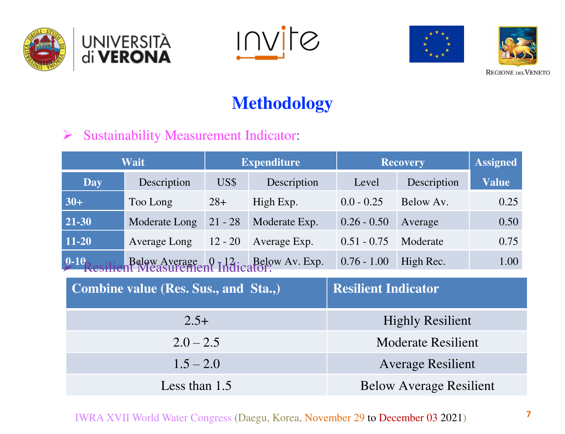







### **Methodology**

#### $\triangleright$  Sustainability Measurement Indicator:

|               | Wait                                                            |           | <b>Expenditure</b>             | <b>Recovery</b> | <b>Assigned</b> |      |  |
|---------------|-----------------------------------------------------------------|-----------|--------------------------------|-----------------|-----------------|------|--|
| Day           | Description                                                     | US\$      | Description                    | Level           | Description     |      |  |
| $30+$         | Too Long                                                        | $28+$     | High Exp.                      | $0.0 - 0.25$    | Below Av.       | 0.25 |  |
| 21-30         | Moderate Long                                                   | $21 - 28$ | Moderate Exp.                  | $0.26 - 0.50$   | Average         | 0.50 |  |
| 11-20         | <b>Average Long</b>                                             | $12 - 20$ | Average Exp.                   | $0.51 - 0.75$   | Moderate        | 0.75 |  |
| $\sqrt{0.10}$ | Below Average 0 12; Below Av. Exp.<br>In Measurement Indicator: |           |                                | $0.76 - 1.00$   | High Rec.       | 1.00 |  |
|               | Combine value (Res. Sus., and Sta.,)                            |           | <b>Resilient Indicator</b>     |                 |                 |      |  |
|               | $2.5+$                                                          |           | <b>Highly Resilient</b>        |                 |                 |      |  |
|               | $2.0 - 2.5$                                                     |           | <b>Moderate Resilient</b>      |                 |                 |      |  |
|               | $1.5 - 2.0$                                                     |           | <b>Average Resilient</b>       |                 |                 |      |  |
|               | Less than $1.5$                                                 |           | <b>Below Average Resilient</b> |                 |                 |      |  |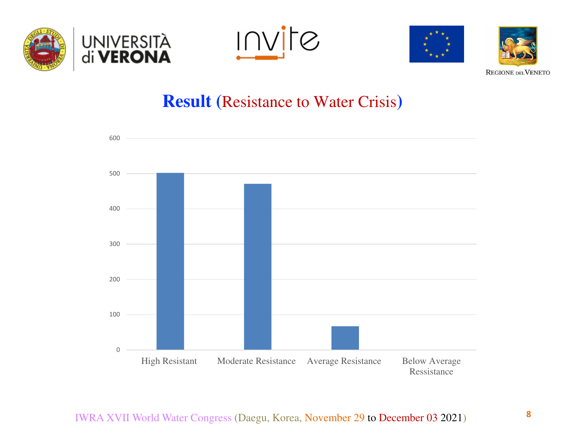







### **Result (**Resistance to Water Crisis**)**

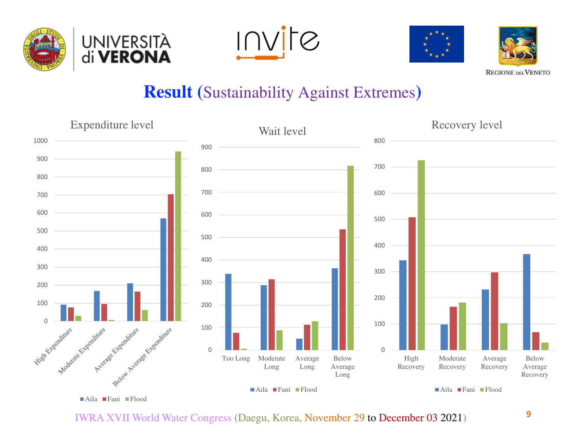









### **Result (**Sustainability Against Extremes**)**



IWRA XVII World Water Congress (Daegu, Korea, November 29 to December 03 2021)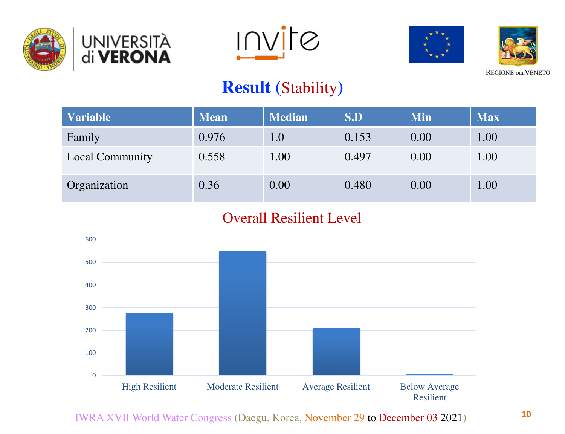









### **Result (**Stability**)**

| <b>Variable</b> | <b>Mean</b> | <b>Median</b> | S.D   | <b>Min</b> | <b>Max</b> |
|-----------------|-------------|---------------|-------|------------|------------|
| Family          | 0.976       | 1.0           | 0.153 | 0.00       | 1.00       |
| Local Community | 0.558       | 1.00          | 0.497 | 0.00       | 1.00       |
| Organization    | 0.36        | 0.00          | 0.480 | 0.00       | 1.00       |

#### Overall Resilient Level



IWRA XVII World Water Congress (Daegu, Korea, November 29 to December 03 2021)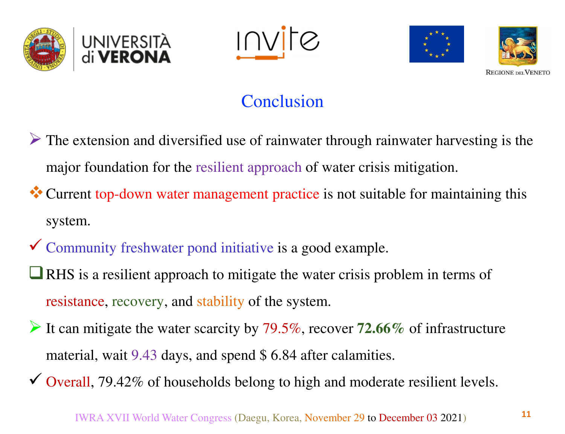





### Conclusion

- $\triangleright$  The extension and diversified use of rainwater through rainwater harvesting is the major foundation for the resilient approach of water crisis mitigation.
- \* Current top-down water management practice is not suitable for maintaining this system.
- Community freshwater pond initiative is a good example.
- **T** RHS is a resilient approach to mitigate the water crisis problem in terms of resistance, recovery, and stability of the system.
- It can mitigate the water scarcity by 79.5%, recover **72.66%** of infrastructure material, wait 9.43 days, and spend \$ 6.84 after calamities.
- $\checkmark$  Overall, 79.42% of households belong to high and moderate resilient levels.